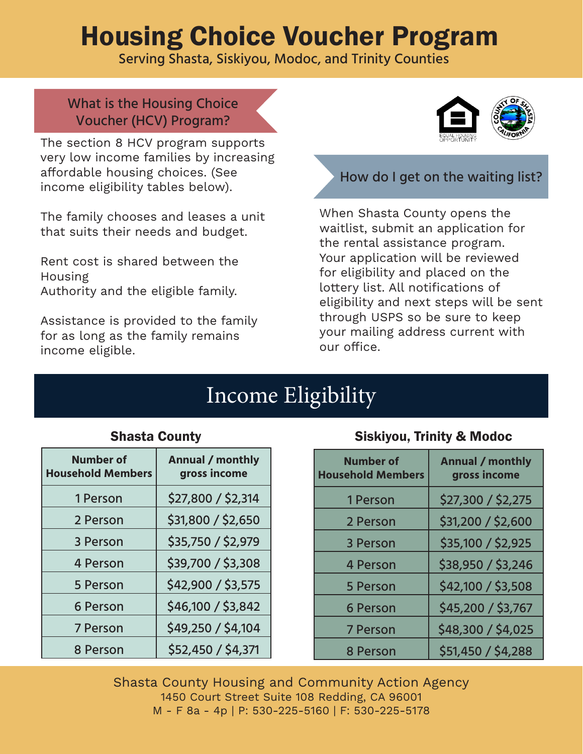# Housing Choice Voucher Program

Serving Shasta, Siskiyou, Modoc, and Trinity Counties

What is the Housing Choice Voucher (HCV) Program?

The section 8 HCV program supports very low income families by increasing affordable housing choices. (See income eligibility tables below).

The family chooses and leases a unit that suits their needs and budget.

Rent cost is shared between the Housing Authority and the eligible family.

Assistance is provided to the family for as long as the family remains income eligible.



# How do I get on the waiting list?

When Shasta County opens the waitlist, submit an application for the rental assistance program. Your application will be reviewed for eligibility and placed on the lottery list. All notifications of eligibility and next steps will be sent through USPS so be sure to keep your mailing address current with our office.

# Income Eligibility

| <b>Annual / monthly</b><br>gross income |
|-----------------------------------------|
| \$27,800 / \$2,314                      |
| \$31,800 / \$2,650                      |
| \$35,750 / \$2,979                      |
| \$39,700 / \$3,308                      |
| \$42,900 / \$3,575                      |
| \$46,100 / \$3,842                      |
| \$49,250 / \$4,104                      |
| \$52,450 / \$4,371                      |
|                                         |

#### Shasta County

#### Siskiyou, Trinity & Modoc

| <b>Number of</b><br><b>Household Members</b> | <b>Annual / monthly</b><br>gross income |
|----------------------------------------------|-----------------------------------------|
| 1 Person                                     | \$27,300 / \$2,275                      |
| 2 Person                                     | \$31,200 / \$2,600                      |
| 3 Person                                     | \$35,100 / \$2,925                      |
| <b>4 Person</b>                              | \$38,950 / \$3,246                      |
| <b>5 Person</b>                              | \$42,100 / \$3,508                      |
| <b>6 Person</b>                              | \$45,200 / \$3,767                      |
| <b>7 Person</b>                              | \$48,300 / \$4,025                      |
| 8 Person                                     | \$51,450 / \$4,288                      |

Shasta County Housing and Community Action Agency 1450 Court Street Suite 108 Redding, CA 96001 M - F 8a - 4p | P: 530-225-5160 | F: 530-225-5178